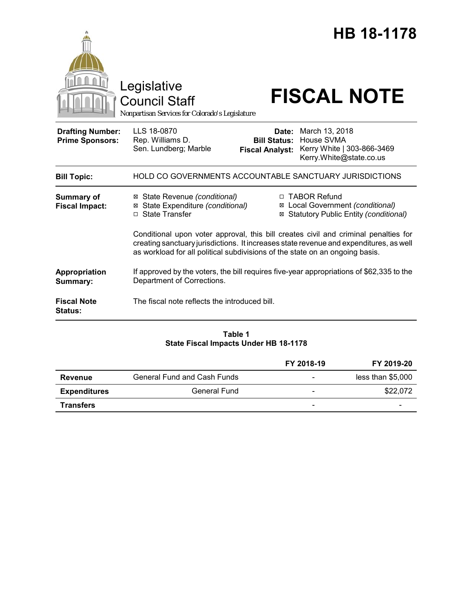|                                                   | Legislative<br><b>Council Staff</b><br>Nonpartisan Services for Colorado's Legislature                                                                                                                                                                        |                                                        | HB 18-1178<br><b>FISCAL NOTE</b>                                                            |
|---------------------------------------------------|---------------------------------------------------------------------------------------------------------------------------------------------------------------------------------------------------------------------------------------------------------------|--------------------------------------------------------|---------------------------------------------------------------------------------------------|
| <b>Drafting Number:</b><br><b>Prime Sponsors:</b> | LLS 18-0870<br>Rep. Williams D.<br>Sen. Lundberg; Marble                                                                                                                                                                                                      | Date:<br><b>Bill Status:</b><br><b>Fiscal Analyst:</b> | March 13, 2018<br>House SVMA<br>Kerry White   303-866-3469<br>Kerry.White@state.co.us       |
| <b>Bill Topic:</b>                                |                                                                                                                                                                                                                                                               |                                                        | <b>HOLD CO GOVERNMENTS ACCOUNTABLE SANCTUARY JURISDICTIONS</b>                              |
| <b>Summary of</b><br><b>Fiscal Impact:</b>        | ⊠ State Revenue (conditional)<br>State Expenditure (conditional)<br>⊠<br><b>State Transfer</b><br>П.                                                                                                                                                          | ⊠                                                      | □ TABOR Refund<br>⊠ Local Government (conditional)<br>Statutory Public Entity (conditional) |
|                                                   | Conditional upon voter approval, this bill creates civil and criminal penalties for<br>creating sanctuary jurisdictions. It increases state revenue and expenditures, as well<br>as workload for all political subdivisions of the state on an ongoing basis. |                                                        |                                                                                             |
| Appropriation<br>Summary:                         | If approved by the voters, the bill requires five-year appropriations of \$62,335 to the<br>Department of Corrections.                                                                                                                                        |                                                        |                                                                                             |
| <b>Fiscal Note</b><br><b>Status:</b>              | The fiscal note reflects the introduced bill.                                                                                                                                                                                                                 |                                                        |                                                                                             |

# **Table 1 State Fiscal Impacts Under HB 18-1178**

|                     |                                    | FY 2018-19               | FY 2019-20        |
|---------------------|------------------------------------|--------------------------|-------------------|
| Revenue             | <b>General Fund and Cash Funds</b> |                          | less than \$5,000 |
| <b>Expenditures</b> | <b>General Fund</b>                | $\overline{\phantom{a}}$ | \$22,072          |
| <b>Transfers</b>    |                                    | -                        | -                 |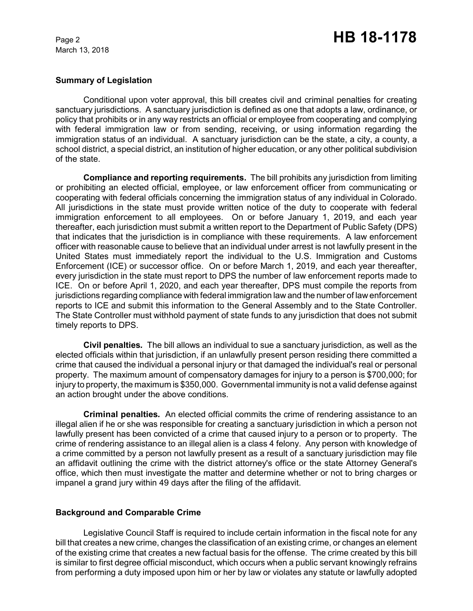## **Summary of Legislation**

Conditional upon voter approval, this bill creates civil and criminal penalties for creating sanctuary jurisdictions. A sanctuary jurisdiction is defined as one that adopts a law, ordinance, or policy that prohibits or in any way restricts an official or employee from cooperating and complying with federal immigration law or from sending, receiving, or using information regarding the immigration status of an individual. A sanctuary jurisdiction can be the state, a city, a county, a school district, a special district, an institution of higher education, or any other political subdivision of the state.

**Compliance and reporting requirements.** The bill prohibits any jurisdiction from limiting or prohibiting an elected official, employee, or law enforcement officer from communicating or cooperating with federal officials concerning the immigration status of any individual in Colorado. All jurisdictions in the state must provide written notice of the duty to cooperate with federal immigration enforcement to all employees. On or before January 1, 2019, and each year thereafter, each jurisdiction must submit a written report to the Department of Public Safety (DPS) that indicates that the jurisdiction is in compliance with these requirements. A law enforcement officer with reasonable cause to believe that an individual under arrest is not lawfully present in the United States must immediately report the individual to the U.S. Immigration and Customs Enforcement (ICE) or successor office. On or before March 1, 2019, and each year thereafter, every jurisdiction in the state must report to DPS the number of law enforcement reports made to ICE. On or before April 1, 2020, and each year thereafter, DPS must compile the reports from jurisdictions regarding compliance with federal immigration law and the number of law enforcement reports to ICE and submit this information to the General Assembly and to the State Controller. The State Controller must withhold payment of state funds to any jurisdiction that does not submit timely reports to DPS.

**Civil penalties***.* The bill allows an individual to sue a sanctuary jurisdiction, as well as the elected officials within that jurisdiction, if an unlawfully present person residing there committed a crime that caused the individual a personal injury or that damaged the individual's real or personal property. The maximum amount of compensatory damages for injury to a person is \$700,000; for injury to property, the maximum is \$350,000. Governmental immunity is not a valid defense against an action brought under the above conditions.

**Criminal penalties***.* An elected official commits the crime of rendering assistance to an illegal alien if he or she was responsible for creating a sanctuary jurisdiction in which a person not lawfully present has been convicted of a crime that caused injury to a person or to property. The crime of rendering assistance to an illegal alien is a class 4 felony. Any person with knowledge of a crime committed by a person not lawfully present as a result of a sanctuary jurisdiction may file an affidavit outlining the crime with the district attorney's office or the state Attorney General's office, which then must investigate the matter and determine whether or not to bring charges or impanel a grand jury within 49 days after the filing of the affidavit.

# **Background and Comparable Crime**

Legislative Council Staff is required to include certain information in the fiscal note for any bill that creates a new crime, changes the classification of an existing crime, or changes an element of the existing crime that creates a new factual basis for the offense. The crime created by this bill is similar to first degree official misconduct, which occurs when a public servant knowingly refrains from performing a duty imposed upon him or her by law or violates any statute or lawfully adopted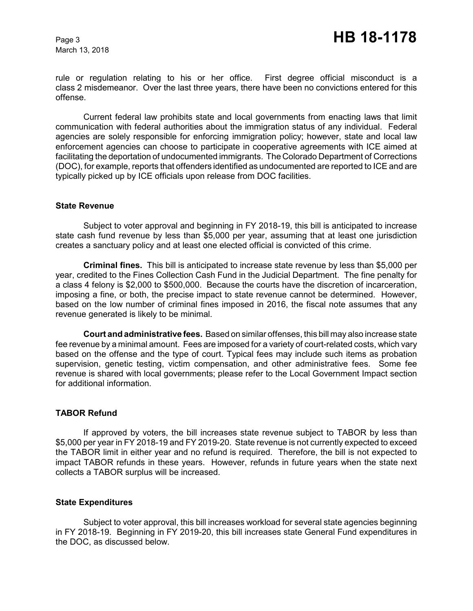rule or regulation relating to his or her office. First degree official misconduct is a class 2 misdemeanor. Over the last three years, there have been no convictions entered for this offense.

Current federal law prohibits state and local governments from enacting laws that limit communication with federal authorities about the immigration status of any individual. Federal agencies are solely responsible for enforcing immigration policy; however, state and local law enforcement agencies can choose to participate in cooperative agreements with ICE aimed at facilitating the deportation of undocumented immigrants. The Colorado Department of Corrections (DOC), for example, reports that offenders identified as undocumented are reported to ICE and are typically picked up by ICE officials upon release from DOC facilities.

#### **State Revenue**

Subject to voter approval and beginning in FY 2018-19, this bill is anticipated to increase state cash fund revenue by less than \$5,000 per year, assuming that at least one jurisdiction creates a sanctuary policy and at least one elected official is convicted of this crime.

**Criminal fines.** This bill is anticipated to increase state revenue by less than \$5,000 per year, credited to the Fines Collection Cash Fund in the Judicial Department. The fine penalty for a class 4 felony is \$2,000 to \$500,000. Because the courts have the discretion of incarceration, imposing a fine, or both, the precise impact to state revenue cannot be determined. However, based on the low number of criminal fines imposed in 2016, the fiscal note assumes that any revenue generated is likely to be minimal.

**Court and administrative fees.** Based on similar offenses, this bill may also increase state fee revenue by a minimal amount. Fees are imposed for a variety of court-related costs, which vary based on the offense and the type of court. Typical fees may include such items as probation supervision, genetic testing, victim compensation, and other administrative fees. Some fee revenue is shared with local governments; please refer to the Local Government Impact section for additional information.

#### **TABOR Refund**

If approved by voters, the bill increases state revenue subject to TABOR by less than \$5,000 per year in FY 2018-19 and FY 2019-20. State revenue is not currently expected to exceed the TABOR limit in either year and no refund is required. Therefore, the bill is not expected to impact TABOR refunds in these years. However, refunds in future years when the state next collects a TABOR surplus will be increased.

#### **State Expenditures**

Subject to voter approval, this bill increases workload for several state agencies beginning in FY 2018-19. Beginning in FY 2019-20, this bill increases state General Fund expenditures in the DOC, as discussed below.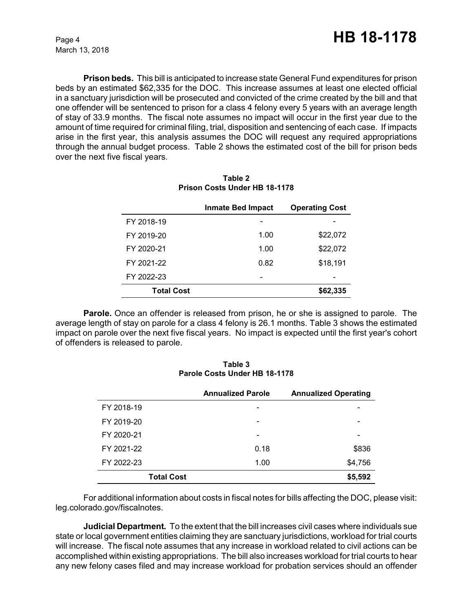**Prison beds.** This bill is anticipated to increase state General Fund expenditures for prison beds by an estimated \$62,335 for the DOC. This increase assumes at least one elected official in a sanctuary jurisdiction will be prosecuted and convicted of the crime created by the bill and that one offender will be sentenced to prison for a class 4 felony every 5 years with an average length of stay of 33.9 months. The fiscal note assumes no impact will occur in the first year due to the amount of time required for criminal filing, trial, disposition and sentencing of each case. If impacts arise in the first year, this analysis assumes the DOC will request any required appropriations through the annual budget process. Table 2 shows the estimated cost of the bill for prison beds over the next five fiscal years.

|                   | Inmate Bed Impact | <b>Operating Cost</b> |
|-------------------|-------------------|-----------------------|
| FY 2018-19        |                   |                       |
| FY 2019-20        | 1.00              | \$22,072              |
| FY 2020-21        | 1.00              | \$22,072              |
| FY 2021-22        | 0.82              | \$18,191              |
| FY 2022-23        |                   |                       |
| <b>Total Cost</b> |                   | \$62,335              |

**Table 2 Prison Costs Under HB 18-1178**

**Parole.** Once an offender is released from prison, he or she is assigned to parole. The average length of stay on parole for a class 4 felony is 26.1 months. Table 3 shows the estimated impact on parole over the next five fiscal years. No impact is expected until the first year's cohort of offenders is released to parole.

| Table 3                       |  |
|-------------------------------|--|
| Parole Costs Under HB 18-1178 |  |

|                   | <b>Annualized Parole</b> | <b>Annualized Operating</b> |
|-------------------|--------------------------|-----------------------------|
| FY 2018-19        | $\overline{\phantom{0}}$ | -                           |
| FY 2019-20        | $\overline{\phantom{0}}$ |                             |
| FY 2020-21        | $\overline{\phantom{a}}$ | -                           |
| FY 2021-22        | 0.18                     | \$836                       |
| FY 2022-23        | 1.00                     | \$4,756                     |
| <b>Total Cost</b> |                          | \$5,592                     |

For additional information about costs in fiscal notes for bills affecting the DOC, please visit: leg.colorado.gov/fiscalnotes.

**Judicial Department***.* To the extent that the bill increases civil cases where individuals sue state or local government entities claiming they are sanctuary jurisdictions, workload for trial courts will increase. The fiscal note assumes that any increase in workload related to civil actions can be accomplished within existing appropriations. The bill also increases workload for trial courts to hear any new felony cases filed and may increase workload for probation services should an offender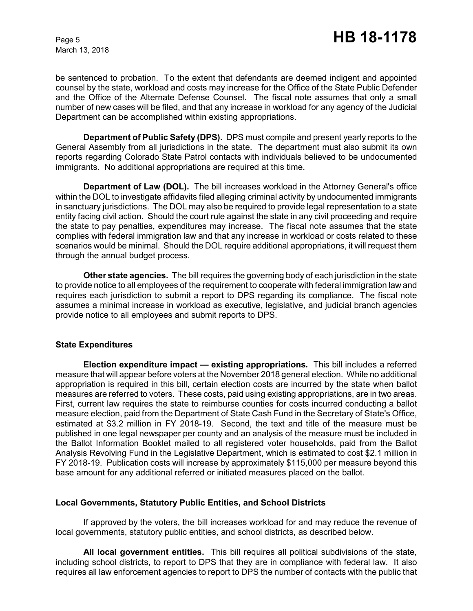be sentenced to probation. To the extent that defendants are deemed indigent and appointed counsel by the state, workload and costs may increase for the Office of the State Public Defender and the Office of the Alternate Defense Counsel. The fiscal note assumes that only a small number of new cases will be filed, and that any increase in workload for any agency of the Judicial Department can be accomplished within existing appropriations.

**Department of Public Safety (DPS).**DPS must compile and present yearly reports to the General Assembly from all jurisdictions in the state. The department must also submit its own reports regarding Colorado State Patrol contacts with individuals believed to be undocumented immigrants. No additional appropriations are required at this time.

**Department of Law (DOL).** The bill increases workload in the Attorney General's office within the DOL to investigate affidavits filed alleging criminal activity by undocumented immigrants in sanctuary jurisdictions. The DOL may also be required to provide legal representation to a state entity facing civil action. Should the court rule against the state in any civil proceeding and require the state to pay penalties, expenditures may increase. The fiscal note assumes that the state complies with federal immigration law and that any increase in workload or costs related to these scenarios would be minimal. Should the DOL require additional appropriations, it will request them through the annual budget process.

**Other state agencies.**The bill requires the governing body of each jurisdiction in the state to provide notice to all employees of the requirement to cooperate with federal immigration law and requires each jurisdiction to submit a report to DPS regarding its compliance. The fiscal note assumes a minimal increase in workload as executive, legislative, and judicial branch agencies provide notice to all employees and submit reports to DPS.

#### **State Expenditures**

**Election expenditure impact — existing appropriations***.* This bill includes a referred measure that will appear before voters at the November 2018 general election. While no additional appropriation is required in this bill, certain election costs are incurred by the state when ballot measures are referred to voters. These costs, paid using existing appropriations, are in two areas. First, current law requires the state to reimburse counties for costs incurred conducting a ballot measure election, paid from the Department of State Cash Fund in the Secretary of State's Office, estimated at \$3.2 million in FY 2018-19. Second, the text and title of the measure must be published in one legal newspaper per county and an analysis of the measure must be included in the Ballot Information Booklet mailed to all registered voter households, paid from the Ballot Analysis Revolving Fund in the Legislative Department, which is estimated to cost \$2.1 million in FY 2018-19. Publication costs will increase by approximately \$115,000 per measure beyond this base amount for any additional referred or initiated measures placed on the ballot.

#### **Local Governments, Statutory Public Entities, and School Districts**

If approved by the voters, the bill increases workload for and may reduce the revenue of local governments, statutory public entities, and school districts, as described below.

**All local government entities.** This bill requires all political subdivisions of the state, including school districts, to report to DPS that they are in compliance with federal law. It also requires all law enforcement agencies to report to DPS the number of contacts with the public that